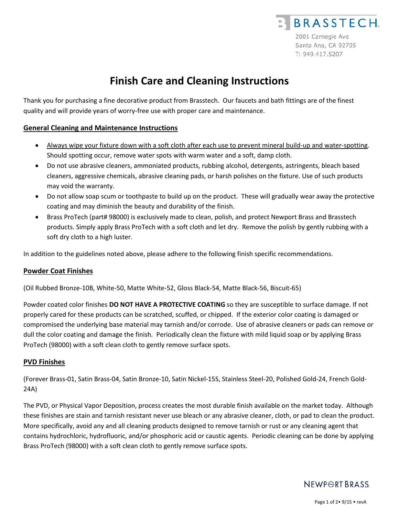

# **Finish Care and Cleaning Instructions**

Thank you for purchasing a fine decorative product from Brasstech. Our faucets and bath fittings are of the finest quality and will provide years of worry-free use with proper care and maintenance.

# **General Cleaning and Maintenance Instructions**

- Always wipe your fixture down with a soft cloth after each use to prevent mineral build-up and water-spotting. Should spotting occur, remove water spots with warm water and a soft, damp cloth.
- Do not use abrasive cleaners, ammoniated products, rubbing alcohol, detergents, astringents, bleach based cleaners, aggressive chemicals, abrasive cleaning pads, or harsh polishes on the fixture. Use of such products may void the warranty.
- Do not allow soap scum or toothpaste to build up on the product. These will gradually wear away the protective coating and may diminish the beauty and durability of the finish.
- Brass ProTech (part# 98000) is exclusively made to clean, polish, and protect Newport Brass and Brasstech products. Simply apply Brass ProTech with a soft cloth and let dry. Remove the polish by gently rubbing with a soft dry cloth to a high luster.

In addition to the guidelines noted above, please adhere to the following finish specific recommendations.

#### **Powder Coat Finishes**

(Oil Rubbed Bronze-10B, White-50, Matte White-52, Gloss Black-54, Matte Black-56, Biscuit-65)

Powder coated color finishes **DO NOT HAVE A PROTECTIVE COATING** so they are susceptible to surface damage. If not properly cared for these products can be scratched, scuffed, or chipped. If the exterior color coating is damaged or compromised the underlying base material may tarnish and/or corrode. Use of abrasive cleaners or pads can remove or dull the color coating and damage the finish*.* Periodically clean the fixture with mild liquid soap or by applying Brass ProTech (98000) with a soft clean cloth to gently remove surface spots.

#### **PVD Finishes**

(Forever Brass-01, Satin Brass-04, Satin Bronze-10, Satin Nickel-15S, Stainless Steel-20, Polished Gold-24, French Gold-24A)

The PVD, or Physical Vapor Deposition, process creates the most durable finish available on the market today. Although these finishes are stain and tarnish resistant never use bleach or any abrasive cleaner, cloth, or pad to clean the product. More specifically, avoid any and all cleaning products designed to remove tarnish or rust or any cleaning agent that contains hydrochloric, hydrofluoric, and/or phosphoric acid or caustic agents. Periodic cleaning can be done by applying Brass ProTech (98000) with a soft clean cloth to gently remove surface spots.

# NEWPORT BRASS.